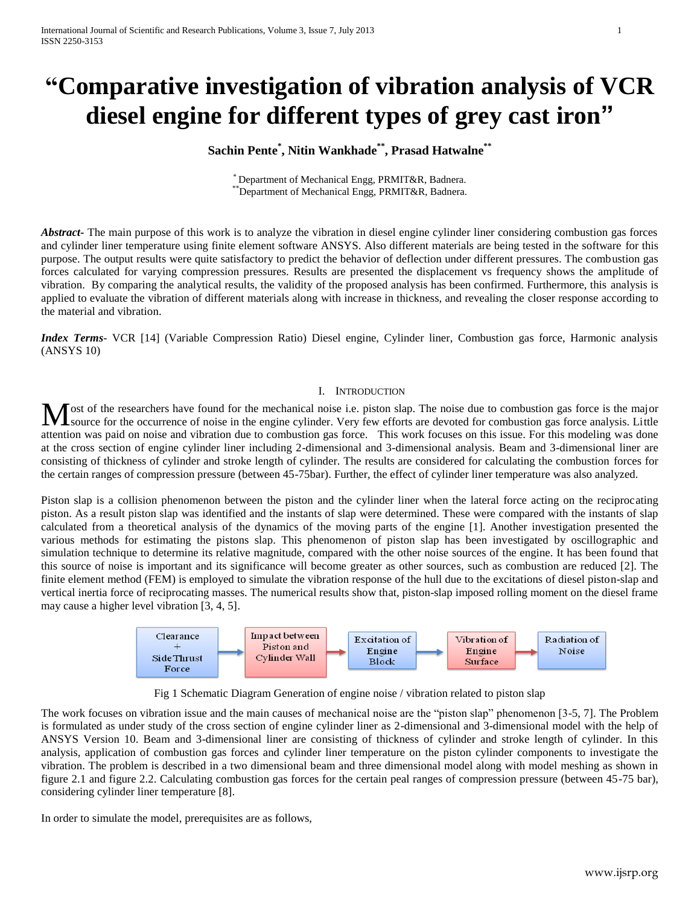# **"Comparative investigation of vibration analysis of VCR diesel engine for different types of grey cast iron"**

# **Sachin Pente\* , Nitin Wankhade\*\* , Prasad Hatwalne\*\***

\* Department of Mechanical Engg, PRMIT&R, Badnera. \*\*Department of Mechanical Engg, PRMIT&R, Badnera.

*Abstract***-** The main purpose of this work is to analyze the vibration in diesel engine cylinder liner considering combustion gas forces and cylinder liner temperature using finite element software ANSYS. Also different materials are being tested in the software for this purpose. The output results were quite satisfactory to predict the behavior of deflection under different pressures. The combustion gas forces calculated for varying compression pressures. Results are presented the displacement vs frequency shows the amplitude of vibration. By comparing the analytical results, the validity of the proposed analysis has been confirmed. Furthermore, this analysis is applied to evaluate the vibration of different materials along with increase in thickness, and revealing the closer response according to the material and vibration.

*Index Terms*- VCR [14] (Variable Compression Ratio) Diesel engine, Cylinder liner, Combustion gas force, Harmonic analysis (ANSYS 10)

### I. INTRODUCTION

ost of the researchers have found for the mechanical noise i.e. piston slap. The noise due to combustion gas force is the major Most of the researchers have found for the mechanical noise i.e. piston slap. The noise due to combustion gas force is the major source for the occurrence of noise in the engine cylinder. Very few efforts are devoted for c attention was paid on noise and vibration due to combustion gas force. This work focuses on this issue. For this modeling was done at the cross section of engine cylinder liner including 2-dimensional and 3-dimensional analysis. Beam and 3-dimensional liner are consisting of thickness of cylinder and stroke length of cylinder. The results are considered for calculating the combustion forces for the certain ranges of compression pressure (between 45-75bar). Further, the effect of cylinder liner temperature was also analyzed.

Piston slap is a collision phenomenon between the piston and the cylinder liner when the lateral force acting on the reciprocating piston. As a result piston slap was identified and the instants of slap were determined. These were compared with the instants of slap calculated from a theoretical analysis of the dynamics of the moving parts of the engine [1]. Another investigation presented the various methods for estimating the pistons slap. This phenomenon of piston slap has been investigated by oscillographic and simulation technique to determine its relative magnitude, compared with the other noise sources of the engine. It has been found that this source of noise is important and its significance will become greater as other sources, such as combustion are reduced [2]. The finite element method (FEM) is employed to simulate the vibration response of the hull due to the excitations of diesel piston-slap and vertical inertia force of reciprocating masses. The numerical results show that, piston-slap imposed rolling moment on the diesel frame may cause a higher level vibration [3, 4, 5].



Fig 1 Schematic Diagram Generation of engine noise / vibration related to piston slap

The work focuses on vibration issue and the main causes of mechanical noise are the "piston slap" phenomenon  $[3-5, 7]$ . The Problem is formulated as under study of the cross section of engine cylinder liner as 2-dimensional and 3-dimensional model with the help of ANSYS Version 10. Beam and 3-dimensional liner are consisting of thickness of cylinder and stroke length of cylinder. In this analysis, application of combustion gas forces and cylinder liner temperature on the piston cylinder components to investigate the vibration. The problem is described in a two dimensional beam and three dimensional model along with model meshing as shown in figure 2.1 and figure 2.2. Calculating combustion gas forces for the certain peal ranges of compression pressure (between 45-75 bar), considering cylinder liner temperature [8].

In order to simulate the model, prerequisites are as follows,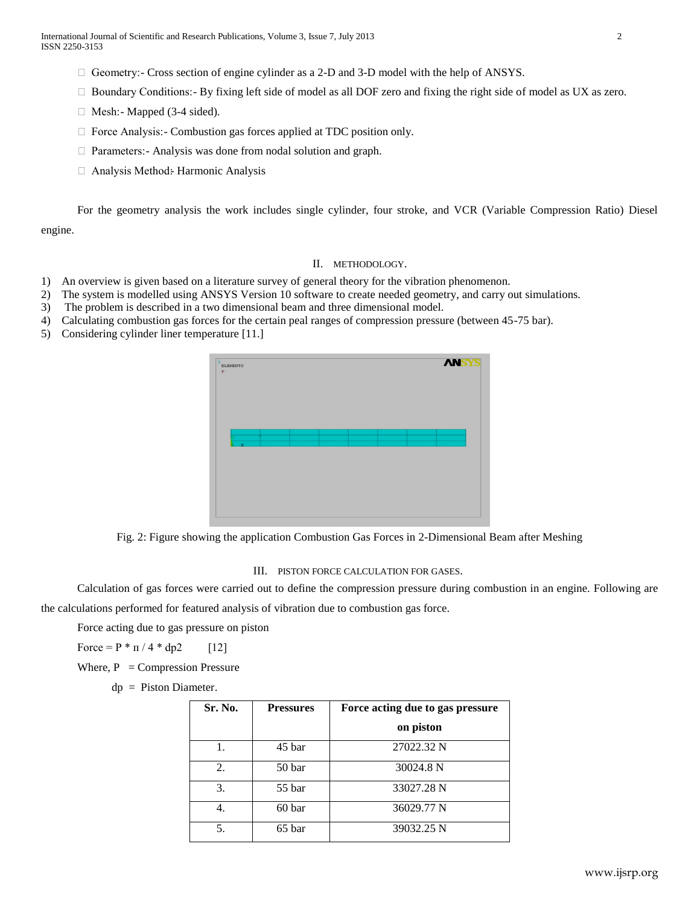- $\Box$  Geometry: Cross section of engine cylinder as a 2-D and 3-D model with the help of ANSYS.
- $\Box$  Boundary Conditions: By fixing left side of model as all DOF zero and fixing the right side of model as UX as zero.
- $\Box$  Mesh: Mapped (3-4 sided).
- □ Force Analysis: Combustion gas forces applied at TDC position only.
- □ Parameters: Analysis was done from nodal solution and graph.
- $\Box$  Analysis Method: Harmonic Analysis

For the geometry analysis the work includes single cylinder, four stroke, and VCR (Variable Compression Ratio) Diesel engine.

#### II. METHODOLOGY.

- 1) An overview is given based on a literature survey of general theory for the vibration phenomenon.
- 2) The system is modelled using ANSYS Version 10 software to create needed geometry, and carry out simulations.
- 3) The problem is described in a two dimensional beam and three dimensional model.
- 4) Calculating combustion gas forces for the certain peal ranges of compression pressure (between 45-75 bar).
- 5) Considering cylinder liner temperature [11.]



Fig. 2: Figure showing the application Combustion Gas Forces in 2-Dimensional Beam after Meshing

#### III. PISTON FORCE CALCULATION FOR GASES.

Calculation of gas forces were carried out to define the compression pressure during combustion in an engine. Following are the calculations performed for featured analysis of vibration due to combustion gas force.

Force acting due to gas pressure on piston

Force =  $P * \pi / 4 * dp2$  [12]

Where,  $P =$ Compression Pressure

dp = Piston Diameter.

| Sr. No. | <b>Pressures</b> | Force acting due to gas pressure |  |
|---------|------------------|----------------------------------|--|
|         |                  | on piston                        |  |
|         | 45 bar           | 27022.32 N                       |  |
| 2.      | 50 bar           | 30024.8 N                        |  |
| 3.      | 55 bar           | 33027.28 N                       |  |
|         | 60 bar           | 36029.77 N                       |  |
| 5.      | 65 bar           | 39032.25 N                       |  |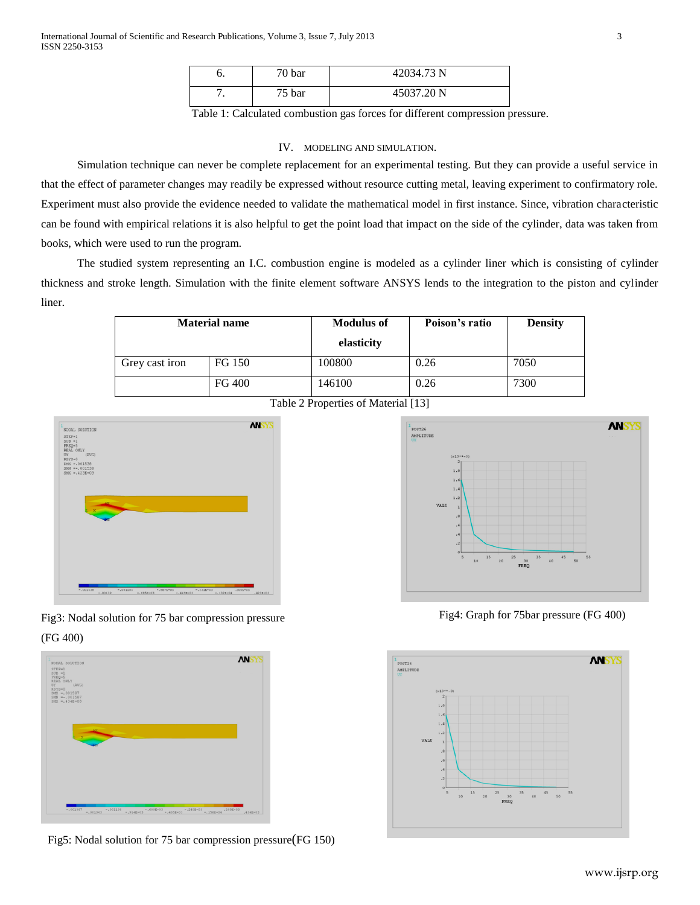| o.  | 70 bar | 42034.73 N |
|-----|--------|------------|
| . . | 75 bar | 45037.20 N |

Table 1: Calculated combustion gas forces for different compression pressure.

#### IV. MODELING AND SIMULATION.

Simulation technique can never be complete replacement for an experimental testing. But they can provide a useful service in that the effect of parameter changes may readily be expressed without resource cutting metal, leaving experiment to confirmatory role. Experiment must also provide the evidence needed to validate the mathematical model in first instance. Since, vibration characteristic can be found with empirical relations it is also helpful to get the point load that impact on the side of the cylinder, data was taken from books, which were used to run the program.

The studied system representing an I.C. combustion engine is modeled as a cylinder liner which is consisting of cylinder thickness and stroke length. Simulation with the finite element software ANSYS lends to the integration to the piston and cylinder liner.

| <b>Material name</b> |        | <b>Modulus of</b> | Poison's ratio | <b>Density</b> |
|----------------------|--------|-------------------|----------------|----------------|
|                      |        | elasticity        |                |                |
| Grey cast iron       | FG 150 | 100800            | 0.26           | 7050           |
|                      | FG 400 | 146100            | 0.26           | 7300           |

Table 2 Properties of Material [13]







Fig5: Nodal solution for 75 bar compression pressure(FG 150)



Fig4: Graph for 75bar pressure (FG 400)

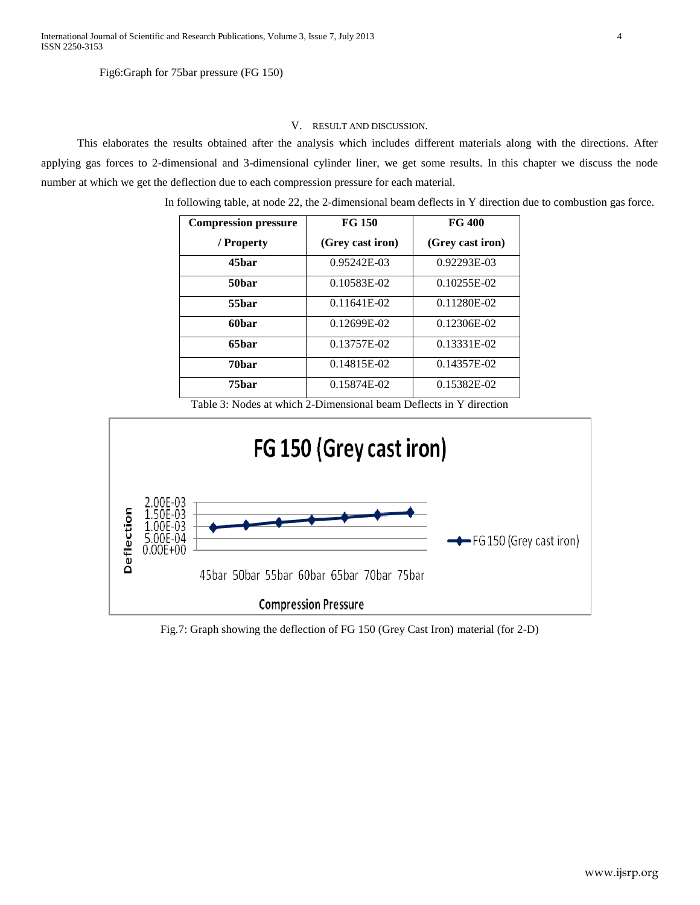#### Fig6:Graph for 75bar pressure (FG 150)

## V. RESULT AND DISCUSSION.

This elaborates the results obtained after the analysis which includes different materials along with the directions. After applying gas forces to 2-dimensional and 3-dimensional cylinder liner, we get some results. In this chapter we discuss the node number at which we get the deflection due to each compression pressure for each material.

In following table, at node 22, the 2-dimensional beam deflects in Y direction due to combustion gas force.

| <b>Compression pressure</b> | FG 150           | <b>FG 400</b><br>(Grey cast iron) |  |
|-----------------------------|------------------|-----------------------------------|--|
| / Property                  | (Grey cast iron) |                                   |  |
| 45 <sub>bar</sub>           | $0.95242E-03$    | $0.92293E-03$                     |  |
| 50bar                       | 0.10583E-02      | $0.10255E-02$                     |  |
| 55bar                       | $0.11641E-02$    | 0.11280E-02                       |  |
| 60bar                       | $0.12699E-02$    | $0.12306E-02$                     |  |
| 65 <sub>bar</sub>           | 0.13757E-02      | 0.13331E-02                       |  |
| 70bar                       | 0.14815E-02      | 0.14357E-02                       |  |
| 75bar                       | 0.15874E-02      | 0.15382E-02                       |  |

Table 3: Nodes at which 2-Dimensional beam Deflects in Y direction



Fig.7: Graph showing the deflection of FG 150 (Grey Cast Iron) material (for 2-D)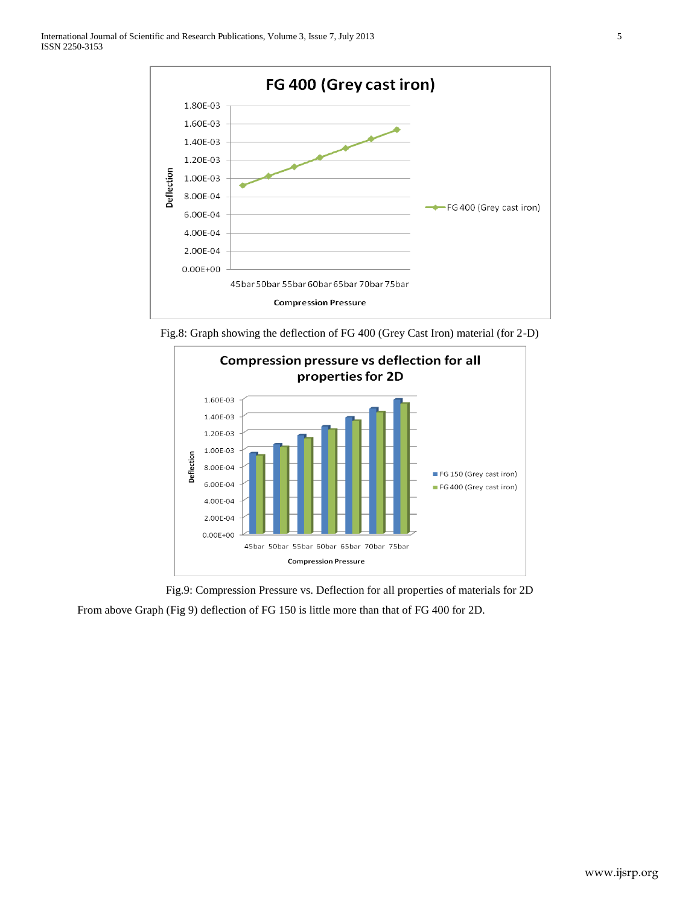

Fig.8: Graph showing the deflection of FG 400 (Grey Cast Iron) material (for 2-D)



Fig.9: Compression Pressure vs. Deflection for all properties of materials for 2D From above Graph (Fig 9) deflection of FG 150 is little more than that of FG 400 for 2D.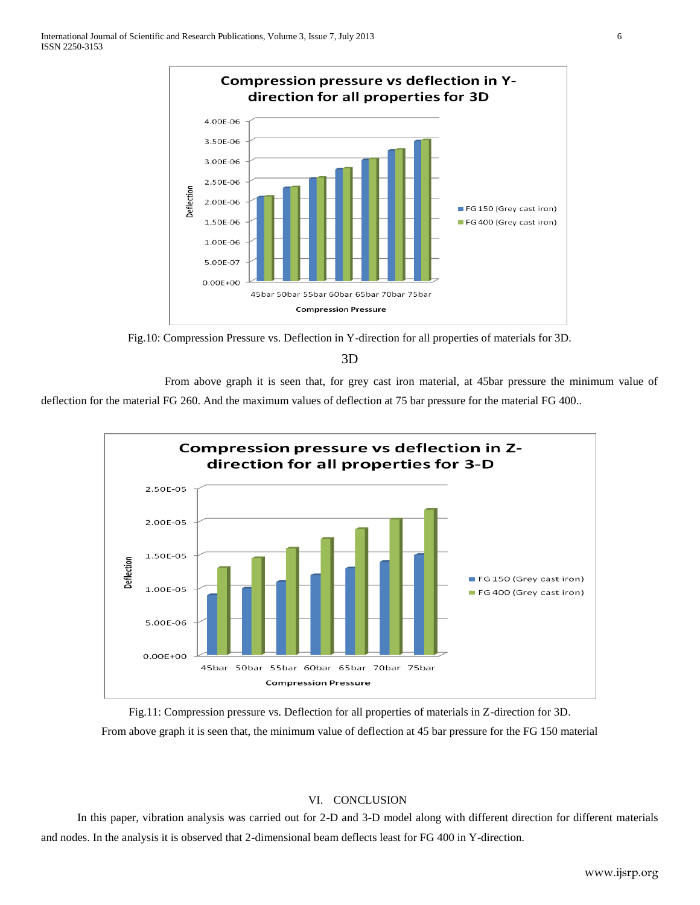

Fig.10: Compression Pressure vs. Deflection in Y-direction for all properties of materials for 3D.

3D

From above graph it is seen that, for grey cast iron material, at 45bar pressure the minimum value of deflection for the material FG 260. And the maximum values of deflection at 75 bar pressure for the material FG 400..



Fig.11: Compression pressure vs. Deflection for all properties of materials in Z-direction for 3D. From above graph it is seen that, the minimum value of deflection at 45 bar pressure for the FG 150 material

# VI. CONCLUSION

In this paper, vibration analysis was carried out for 2-D and 3-D model along with different direction for different materials and nodes. In the analysis it is observed that 2-dimensional beam deflects least for FG 400 in Y-direction.